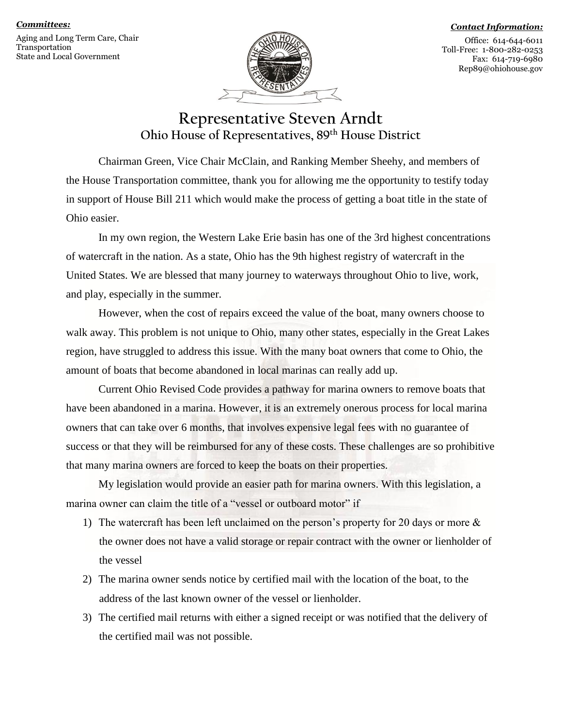### *Committees:*

Aging and Long Term Care, Chair Transportation State and Local Government



#### *Contact Information:*

Office: 614-644-6011 Toll-Free: 1-800-282-0253 Fax: 614-719-6980 Rep89@ohiohouse.gov

## **Representative Steven Arndt Ohio House of Representatives, 89th House District**

Chairman Green, Vice Chair McClain, and Ranking Member Sheehy, and members of the House Transportation committee, thank you for allowing me the opportunity to testify today in support of House Bill 211 which would make the process of getting a boat title in the state of Ohio easier.

In my own region, the Western Lake Erie basin has one of the 3rd highest concentrations of watercraft in the nation. As a state, Ohio has the 9th highest registry of watercraft in the United States. We are blessed that many journey to waterways throughout Ohio to live, work, and play, especially in the summer.

However, when the cost of repairs exceed the value of the boat, many owners choose to walk away. This problem is not unique to Ohio, many other states, especially in the Great Lakes region, have struggled to address this issue. With the many boat owners that come to Ohio, the amount of boats that become abandoned in local marinas can really add up.

Current Ohio Revised Code provides a pathway for marina owners to remove boats that have been abandoned in a marina. However, it is an extremely onerous process for local marina owners that can take over 6 months, that involves expensive legal fees with no guarantee of success or that they will be reimbursed for any of these costs. These challenges are so prohibitive that many marina owners are forced to keep the boats on their properties.

My legislation would provide an easier path for marina owners. With this legislation, a marina owner can claim the title of a "vessel or outboard motor" if

- 1) The watercraft has been left unclaimed on the person's property for 20 days or more & the owner does not have a valid storage or repair contract with the owner or lienholder of the vessel
- 2) The marina owner sends notice by certified mail with the location of the boat, to the address of the last known owner of the vessel or lienholder.
- 3) The certified mail returns with either a signed receipt or was notified that the delivery of the certified mail was not possible.